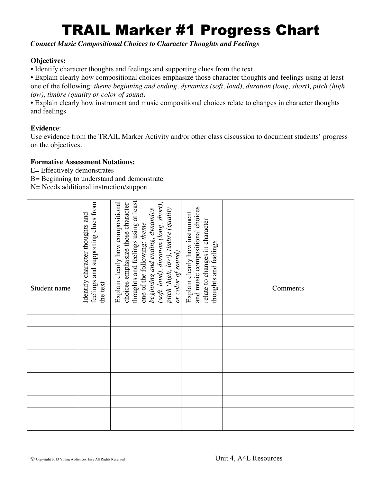# TRAIL Marker #1 Progress Chart

*Connect Music Compositional Choices to Character Thoughts and Feelings*

### **Objectives:**

**•** Identify character thoughts and feelings and supporting clues from the text

• Explain clearly how compositional choices emphasize those character thoughts and feelings using at least one of the following: *theme beginning and ending, dynamics (soft, loud), duration (long, short), pitch (high, low), timbre (quality or color of sound)*

• Explain clearly how instrument and music compositional choices relate to changes in character thoughts and feelings

## **Evidence**:

Use evidence from the TRAIL Marker Activity and/or other class discussion to document students' progress on the objectives.

#### **Formative Assessment Notations:**

E= Effectively demonstrates

B= Beginning to understand and demonstrate

| Student name | feelings and supporting clues from<br>Identify character thoughts and<br>the text | thoughts and feelings using at least<br>Explain clearly how compositional<br>(soft, loud), duration (long, short),<br>choices emphasize those character<br>pitch (high, low), timbre (quality<br>beginning and ending, dynamics<br>one of the following: theme<br>or color of sound) | and music compositional choices<br>Explain clearly how instrument<br>relate to changes in character<br>thoughts and feelings | Comments |
|--------------|-----------------------------------------------------------------------------------|--------------------------------------------------------------------------------------------------------------------------------------------------------------------------------------------------------------------------------------------------------------------------------------|------------------------------------------------------------------------------------------------------------------------------|----------|
|              |                                                                                   |                                                                                                                                                                                                                                                                                      |                                                                                                                              |          |
|              |                                                                                   |                                                                                                                                                                                                                                                                                      |                                                                                                                              |          |
|              |                                                                                   |                                                                                                                                                                                                                                                                                      |                                                                                                                              |          |
|              |                                                                                   |                                                                                                                                                                                                                                                                                      |                                                                                                                              |          |
|              |                                                                                   |                                                                                                                                                                                                                                                                                      |                                                                                                                              |          |
|              |                                                                                   |                                                                                                                                                                                                                                                                                      |                                                                                                                              |          |
|              |                                                                                   |                                                                                                                                                                                                                                                                                      |                                                                                                                              |          |
|              |                                                                                   |                                                                                                                                                                                                                                                                                      |                                                                                                                              |          |
|              |                                                                                   |                                                                                                                                                                                                                                                                                      |                                                                                                                              |          |
|              |                                                                                   |                                                                                                                                                                                                                                                                                      |                                                                                                                              |          |
|              |                                                                                   |                                                                                                                                                                                                                                                                                      |                                                                                                                              |          |
|              |                                                                                   |                                                                                                                                                                                                                                                                                      |                                                                                                                              |          |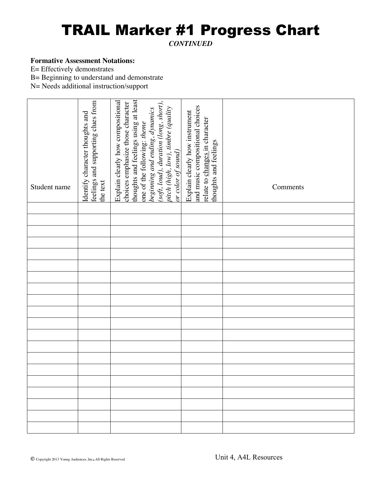# TRAIL Marker #1 Progress Chart

*CONTINUED*

#### **Formative Assessment Notations:**

E= Effectively demonstrates

B= Beginning to understand and demonstrate

| Student name | feelings and supporting clues from<br>Identify character thoughts and<br>the text | thoughts and feelings using at least<br>Explain clearly how compositional<br>(soft, loud), duration (long, short),<br>choices emphasize those character<br>pitch (high, low), timbre (quality<br>beginning and ending, dynamics<br>one of the following: theme<br>or color of sound) | and music compositional choices<br>Explain clearly how instrument<br>relate to changes in character<br>thoughts and feelings | Comments |
|--------------|-----------------------------------------------------------------------------------|--------------------------------------------------------------------------------------------------------------------------------------------------------------------------------------------------------------------------------------------------------------------------------------|------------------------------------------------------------------------------------------------------------------------------|----------|
|              |                                                                                   |                                                                                                                                                                                                                                                                                      |                                                                                                                              |          |
|              |                                                                                   |                                                                                                                                                                                                                                                                                      |                                                                                                                              |          |
|              |                                                                                   |                                                                                                                                                                                                                                                                                      |                                                                                                                              |          |
|              |                                                                                   |                                                                                                                                                                                                                                                                                      |                                                                                                                              |          |
|              |                                                                                   |                                                                                                                                                                                                                                                                                      |                                                                                                                              |          |
|              |                                                                                   |                                                                                                                                                                                                                                                                                      |                                                                                                                              |          |
|              |                                                                                   |                                                                                                                                                                                                                                                                                      |                                                                                                                              |          |
|              |                                                                                   |                                                                                                                                                                                                                                                                                      |                                                                                                                              |          |
|              |                                                                                   |                                                                                                                                                                                                                                                                                      |                                                                                                                              |          |
|              |                                                                                   |                                                                                                                                                                                                                                                                                      |                                                                                                                              |          |
|              |                                                                                   |                                                                                                                                                                                                                                                                                      |                                                                                                                              |          |
|              |                                                                                   |                                                                                                                                                                                                                                                                                      |                                                                                                                              |          |
|              |                                                                                   |                                                                                                                                                                                                                                                                                      |                                                                                                                              |          |
|              |                                                                                   |                                                                                                                                                                                                                                                                                      |                                                                                                                              |          |
|              |                                                                                   |                                                                                                                                                                                                                                                                                      |                                                                                                                              |          |
|              |                                                                                   |                                                                                                                                                                                                                                                                                      |                                                                                                                              |          |
|              |                                                                                   |                                                                                                                                                                                                                                                                                      |                                                                                                                              |          |
|              |                                                                                   |                                                                                                                                                                                                                                                                                      |                                                                                                                              |          |
|              |                                                                                   |                                                                                                                                                                                                                                                                                      |                                                                                                                              |          |
|              |                                                                                   |                                                                                                                                                                                                                                                                                      |                                                                                                                              |          |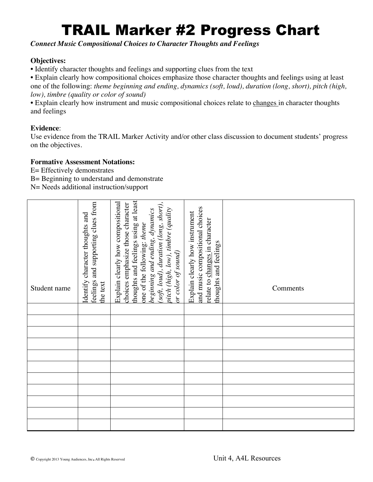# TRAIL Marker #2 Progress Chart

*Connect Music Compositional Choices to Character Thoughts and Feelings*

### **Objectives:**

**•** Identify character thoughts and feelings and supporting clues from the text

• Explain clearly how compositional choices emphasize those character thoughts and feelings using at least one of the following: *theme beginning and ending, dynamics (soft, loud), duration (long, short), pitch (high, low), timbre (quality or color of sound)*

• Explain clearly how instrument and music compositional choices relate to changes in character thoughts and feelings

## **Evidence**:

Use evidence from the TRAIL Marker Activity and/or other class discussion to document students' progress on the objectives.

#### **Formative Assessment Notations:**

E= Effectively demonstrates

B= Beginning to understand and demonstrate

| Student name | feelings and supporting clues from<br>Identify character thoughts and<br>the text | thoughts and feelings using at least<br>Explain clearly how compositional<br>(soft, loud), duration (long, short),<br>choices emphasize those character<br>pitch (high, low), timbre (quality<br>beginning and ending, dynamics<br>one of the following: theme<br>or color of sound) | and music compositional choices<br>Explain clearly how instrument<br>relate to changes in character<br>thoughts and feelings | Comments |
|--------------|-----------------------------------------------------------------------------------|--------------------------------------------------------------------------------------------------------------------------------------------------------------------------------------------------------------------------------------------------------------------------------------|------------------------------------------------------------------------------------------------------------------------------|----------|
|              |                                                                                   |                                                                                                                                                                                                                                                                                      |                                                                                                                              |          |
|              |                                                                                   |                                                                                                                                                                                                                                                                                      |                                                                                                                              |          |
|              |                                                                                   |                                                                                                                                                                                                                                                                                      |                                                                                                                              |          |
|              |                                                                                   |                                                                                                                                                                                                                                                                                      |                                                                                                                              |          |
|              |                                                                                   |                                                                                                                                                                                                                                                                                      |                                                                                                                              |          |
|              |                                                                                   |                                                                                                                                                                                                                                                                                      |                                                                                                                              |          |
|              |                                                                                   |                                                                                                                                                                                                                                                                                      |                                                                                                                              |          |
|              |                                                                                   |                                                                                                                                                                                                                                                                                      |                                                                                                                              |          |
|              |                                                                                   |                                                                                                                                                                                                                                                                                      |                                                                                                                              |          |
|              |                                                                                   |                                                                                                                                                                                                                                                                                      |                                                                                                                              |          |
|              |                                                                                   |                                                                                                                                                                                                                                                                                      |                                                                                                                              |          |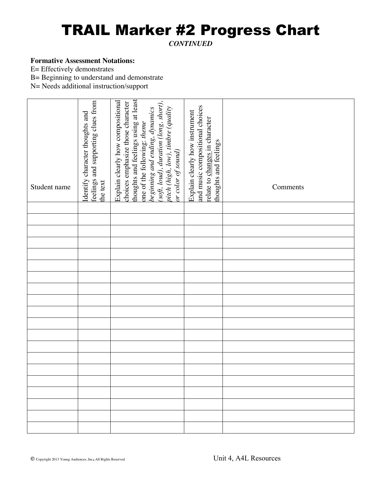## TRAIL Marker #2 Progress Chart

*CONTINUED*

#### **Formative Assessment Notations:**

E= Effectively demonstrates

B= Beginning to understand and demonstrate

| Student name | feelings and supporting clues from<br>Identify character thoughts and<br>the text | thoughts and feelings using at least<br>soft, loud), duration (long, short),<br>Explain clearly how compositional<br>choices emphasize those character<br>pitch (high, low), timbre (quality<br>beginning and ending, dynamics<br>one of the following: theme<br>or color of sound) | and music compositional choices<br>Explain clearly how instrument<br>relate to changes in character<br>thoughts and feelings | Comments |
|--------------|-----------------------------------------------------------------------------------|-------------------------------------------------------------------------------------------------------------------------------------------------------------------------------------------------------------------------------------------------------------------------------------|------------------------------------------------------------------------------------------------------------------------------|----------|
|              |                                                                                   |                                                                                                                                                                                                                                                                                     |                                                                                                                              |          |
|              |                                                                                   |                                                                                                                                                                                                                                                                                     |                                                                                                                              |          |
|              |                                                                                   |                                                                                                                                                                                                                                                                                     |                                                                                                                              |          |
|              |                                                                                   |                                                                                                                                                                                                                                                                                     |                                                                                                                              |          |
|              |                                                                                   |                                                                                                                                                                                                                                                                                     |                                                                                                                              |          |
|              |                                                                                   |                                                                                                                                                                                                                                                                                     |                                                                                                                              |          |
|              |                                                                                   |                                                                                                                                                                                                                                                                                     |                                                                                                                              |          |
|              |                                                                                   |                                                                                                                                                                                                                                                                                     |                                                                                                                              |          |
|              |                                                                                   |                                                                                                                                                                                                                                                                                     |                                                                                                                              |          |
|              |                                                                                   |                                                                                                                                                                                                                                                                                     |                                                                                                                              |          |
|              |                                                                                   |                                                                                                                                                                                                                                                                                     |                                                                                                                              |          |
|              |                                                                                   |                                                                                                                                                                                                                                                                                     |                                                                                                                              |          |
|              |                                                                                   |                                                                                                                                                                                                                                                                                     |                                                                                                                              |          |
|              |                                                                                   |                                                                                                                                                                                                                                                                                     |                                                                                                                              |          |
|              |                                                                                   |                                                                                                                                                                                                                                                                                     |                                                                                                                              |          |
|              |                                                                                   |                                                                                                                                                                                                                                                                                     |                                                                                                                              |          |
|              |                                                                                   |                                                                                                                                                                                                                                                                                     |                                                                                                                              |          |
|              |                                                                                   |                                                                                                                                                                                                                                                                                     |                                                                                                                              |          |
|              |                                                                                   |                                                                                                                                                                                                                                                                                     |                                                                                                                              |          |
|              |                                                                                   |                                                                                                                                                                                                                                                                                     |                                                                                                                              |          |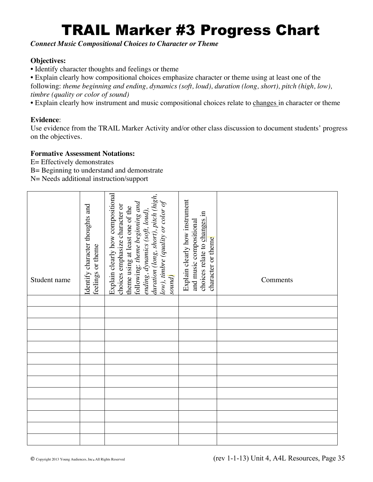# TRAIL Marker #3 Progress Chart

*Connect Music Compositional Choices to Character or Theme*

## **Objectives:**

• Identify character thoughts and feelings or theme

• Explain clearly how compositional choices emphasize character or theme using at least one of the following: *theme beginning and ending, dynamics (soft, loud), duration (long, short), pitch (high, low), timbre (quality or color of sound)*

• Explain clearly how instrument and music compositional choices relate to changes in character or theme

## **Evidence**:

Use evidence from the TRAIL Marker Activity and/or other class discussion to document students' progress on the objectives.

## **Formative Assessment Notations:**

- E= Effectively demonstrates
- B= Beginning to understand and demonstrate

| Student name | Identify character thoughts and<br>feelings or theme | Explain clearly how compositional<br>duration (long, short), pitch (high,<br>$low$ ), timbre (quality or color of<br>following: theme beginning and<br>choices emphasize character or<br>theme using at least one of the<br>ending, dynamics (soft, loud),<br>sound) | Explain clearly how instrument<br>choices relate to changes in<br>and music compositional<br>character or theme | Comments |
|--------------|------------------------------------------------------|----------------------------------------------------------------------------------------------------------------------------------------------------------------------------------------------------------------------------------------------------------------------|-----------------------------------------------------------------------------------------------------------------|----------|
|              |                                                      |                                                                                                                                                                                                                                                                      |                                                                                                                 |          |
|              |                                                      |                                                                                                                                                                                                                                                                      |                                                                                                                 |          |
|              |                                                      |                                                                                                                                                                                                                                                                      |                                                                                                                 |          |
|              |                                                      |                                                                                                                                                                                                                                                                      |                                                                                                                 |          |
|              |                                                      |                                                                                                                                                                                                                                                                      |                                                                                                                 |          |
|              |                                                      |                                                                                                                                                                                                                                                                      |                                                                                                                 |          |
|              |                                                      |                                                                                                                                                                                                                                                                      |                                                                                                                 |          |
|              |                                                      |                                                                                                                                                                                                                                                                      |                                                                                                                 |          |
|              |                                                      |                                                                                                                                                                                                                                                                      |                                                                                                                 |          |
|              |                                                      |                                                                                                                                                                                                                                                                      |                                                                                                                 |          |
|              |                                                      |                                                                                                                                                                                                                                                                      |                                                                                                                 |          |
|              |                                                      |                                                                                                                                                                                                                                                                      |                                                                                                                 |          |
|              |                                                      |                                                                                                                                                                                                                                                                      |                                                                                                                 |          |